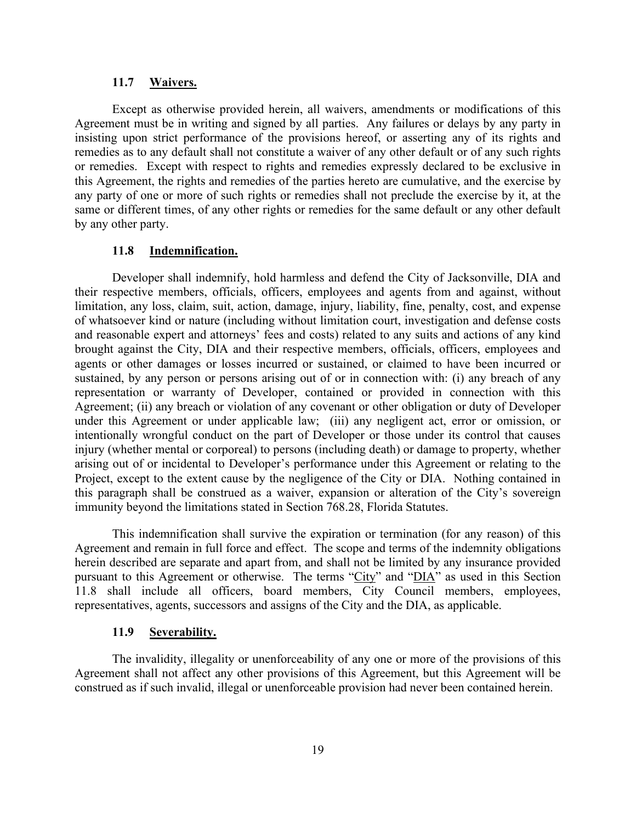#### **11.7 Waivers.**

Except as otherwise provided herein, all waivers, amendments or modifications of this Agreement must be in writing and signed by all parties. Any failures or delays by any party in insisting upon strict performance of the provisions hereof, or asserting any of its rights and remedies as to any default shall not constitute a waiver of any other default or of any such rights or remedies. Except with respect to rights and remedies expressly declared to be exclusive in this Agreement, the rights and remedies of the parties hereto are cumulative, and the exercise by any party of one or more of such rights or remedies shall not preclude the exercise by it, at the same or different times, of any other rights or remedies for the same default or any other default by any other party.

#### **11.8 Indemnification.**

Developer shall indemnify, hold harmless and defend the City of Jacksonville, DIA and their respective members, officials, officers, employees and agents from and against, without limitation, any loss, claim, suit, action, damage, injury, liability, fine, penalty, cost, and expense of whatsoever kind or nature (including without limitation court, investigation and defense costs and reasonable expert and attorneys' fees and costs) related to any suits and actions of any kind brought against the City, DIA and their respective members, officials, officers, employees and agents or other damages or losses incurred or sustained, or claimed to have been incurred or sustained, by any person or persons arising out of or in connection with: (i) any breach of any representation or warranty of Developer, contained or provided in connection with this Agreement; (ii) any breach or violation of any covenant or other obligation or duty of Developer under this Agreement or under applicable law; (iii) any negligent act, error or omission, or intentionally wrongful conduct on the part of Developer or those under its control that causes injury (whether mental or corporeal) to persons (including death) or damage to property, whether arising out of or incidental to Developer's performance under this Agreement or relating to the Project, except to the extent cause by the negligence of the City or DIA. Nothing contained in this paragraph shall be construed as a waiver, expansion or alteration of the City's sovereign immunity beyond the limitations stated in Section 768.28, Florida Statutes.

This indemnification shall survive the expiration or termination (for any reason) of this Agreement and remain in full force and effect. The scope and terms of the indemnity obligations herein described are separate and apart from, and shall not be limited by any insurance provided pursuant to this Agreement or otherwise. The terms "City" and "DIA" as used in this Section 11.8 shall include all officers, board members, City Council members, employees, representatives, agents, successors and assigns of the City and the DIA, as applicable.

#### **11.9 Severability.**

The invalidity, illegality or unenforceability of any one or more of the provisions of this Agreement shall not affect any other provisions of this Agreement, but this Agreement will be construed as if such invalid, illegal or unenforceable provision had never been contained herein.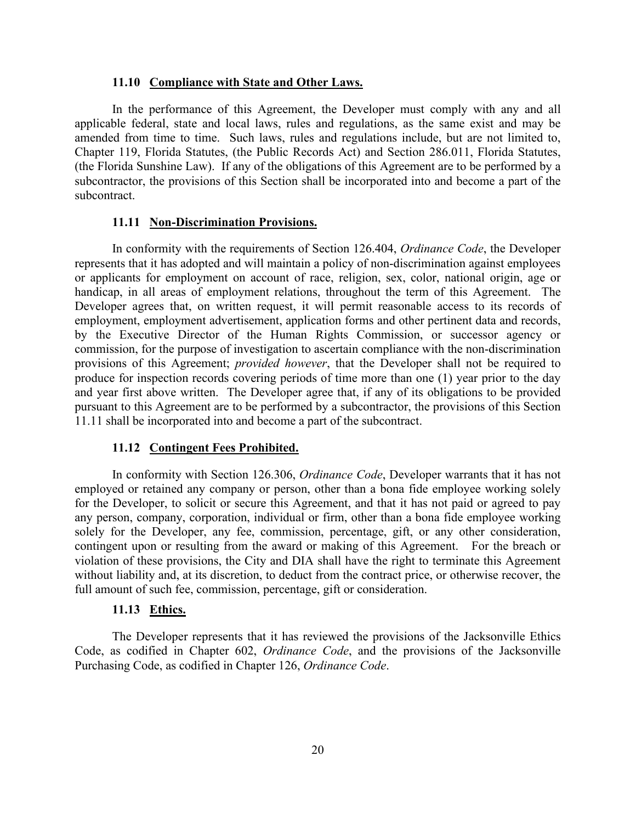### **11.10 Compliance with State and Other Laws.**

In the performance of this Agreement, the Developer must comply with any and all applicable federal, state and local laws, rules and regulations, as the same exist and may be amended from time to time. Such laws, rules and regulations include, but are not limited to, Chapter 119, Florida Statutes, (the Public Records Act) and Section 286.011, Florida Statutes, (the Florida Sunshine Law). If any of the obligations of this Agreement are to be performed by a subcontractor, the provisions of this Section shall be incorporated into and become a part of the subcontract.

## **11.11 Non-Discrimination Provisions.**

In conformity with the requirements of Section 126.404, *Ordinance Code*, the Developer represents that it has adopted and will maintain a policy of non-discrimination against employees or applicants for employment on account of race, religion, sex, color, national origin, age or handicap, in all areas of employment relations, throughout the term of this Agreement. The Developer agrees that, on written request, it will permit reasonable access to its records of employment, employment advertisement, application forms and other pertinent data and records, by the Executive Director of the Human Rights Commission, or successor agency or commission, for the purpose of investigation to ascertain compliance with the non-discrimination provisions of this Agreement; *provided however*, that the Developer shall not be required to produce for inspection records covering periods of time more than one (1) year prior to the day and year first above written. The Developer agree that, if any of its obligations to be provided pursuant to this Agreement are to be performed by a subcontractor, the provisions of this Section 11.11 shall be incorporated into and become a part of the subcontract.

## **11.12 Contingent Fees Prohibited.**

In conformity with Section 126.306, *Ordinance Code*, Developer warrants that it has not employed or retained any company or person, other than a bona fide employee working solely for the Developer, to solicit or secure this Agreement, and that it has not paid or agreed to pay any person, company, corporation, individual or firm, other than a bona fide employee working solely for the Developer, any fee, commission, percentage, gift, or any other consideration, contingent upon or resulting from the award or making of this Agreement. For the breach or violation of these provisions, the City and DIA shall have the right to terminate this Agreement without liability and, at its discretion, to deduct from the contract price, or otherwise recover, the full amount of such fee, commission, percentage, gift or consideration.

## **11.13 Ethics.**

The Developer represents that it has reviewed the provisions of the Jacksonville Ethics Code, as codified in Chapter 602, *Ordinance Code*, and the provisions of the Jacksonville Purchasing Code, as codified in Chapter 126, *Ordinance Code*.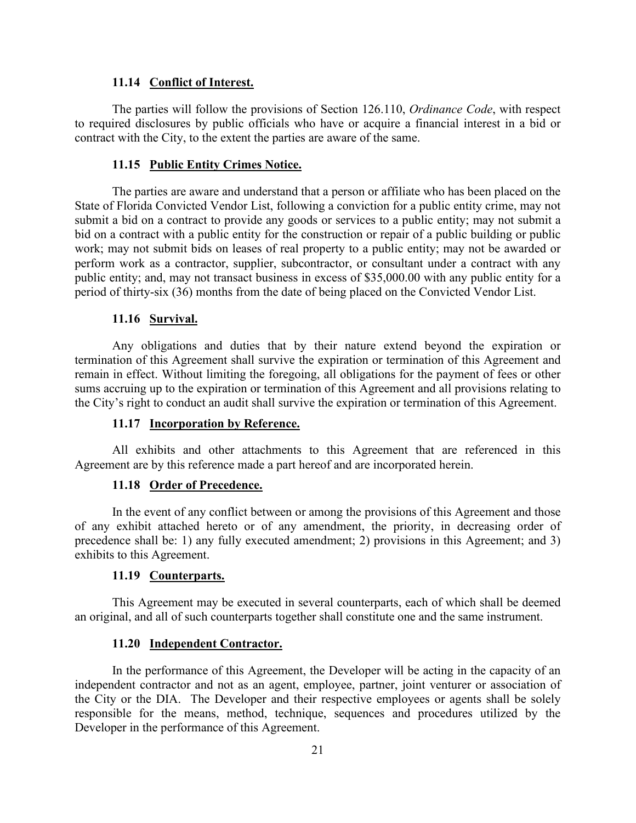### **11.14 Conflict of Interest.**

The parties will follow the provisions of Section 126.110, *Ordinance Code*, with respect to required disclosures by public officials who have or acquire a financial interest in a bid or contract with the City, to the extent the parties are aware of the same.

## **11.15 Public Entity Crimes Notice.**

The parties are aware and understand that a person or affiliate who has been placed on the State of Florida Convicted Vendor List, following a conviction for a public entity crime, may not submit a bid on a contract to provide any goods or services to a public entity; may not submit a bid on a contract with a public entity for the construction or repair of a public building or public work; may not submit bids on leases of real property to a public entity; may not be awarded or perform work as a contractor, supplier, subcontractor, or consultant under a contract with any public entity; and, may not transact business in excess of \$35,000.00 with any public entity for a period of thirty-six (36) months from the date of being placed on the Convicted Vendor List.

## **11.16 Survival.**

Any obligations and duties that by their nature extend beyond the expiration or termination of this Agreement shall survive the expiration or termination of this Agreement and remain in effect. Without limiting the foregoing, all obligations for the payment of fees or other sums accruing up to the expiration or termination of this Agreement and all provisions relating to the City's right to conduct an audit shall survive the expiration or termination of this Agreement.

## **11.17 Incorporation by Reference.**

All exhibits and other attachments to this Agreement that are referenced in this Agreement are by this reference made a part hereof and are incorporated herein.

## **11.18 Order of Precedence.**

In the event of any conflict between or among the provisions of this Agreement and those of any exhibit attached hereto or of any amendment, the priority, in decreasing order of precedence shall be: 1) any fully executed amendment; 2) provisions in this Agreement; and 3) exhibits to this Agreement.

## **11.19 Counterparts.**

This Agreement may be executed in several counterparts, each of which shall be deemed an original, and all of such counterparts together shall constitute one and the same instrument.

## **11.20 Independent Contractor.**

In the performance of this Agreement, the Developer will be acting in the capacity of an independent contractor and not as an agent, employee, partner, joint venturer or association of the City or the DIA. The Developer and their respective employees or agents shall be solely responsible for the means, method, technique, sequences and procedures utilized by the Developer in the performance of this Agreement.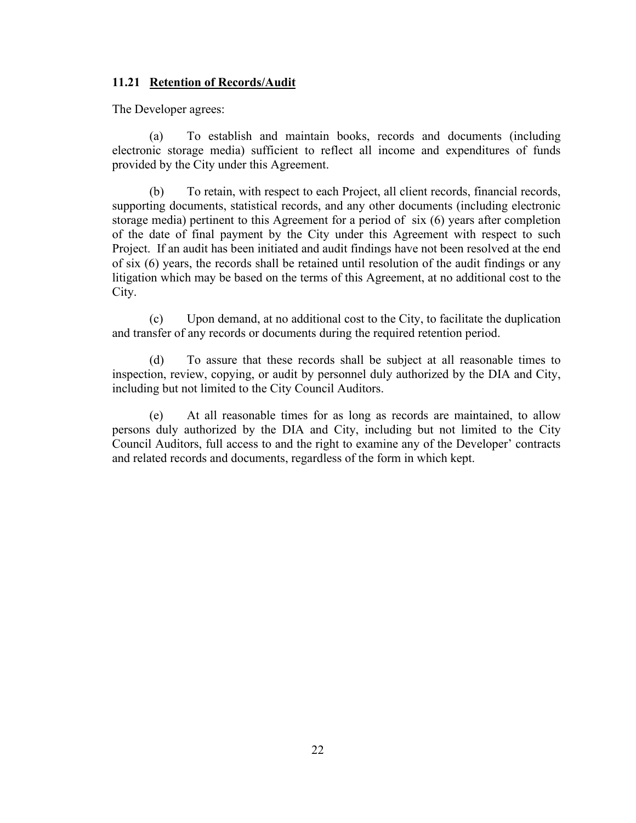## **11.21 Retention of Records/Audit**

The Developer agrees:

(a) To establish and maintain books, records and documents (including electronic storage media) sufficient to reflect all income and expenditures of funds provided by the City under this Agreement.

(b) To retain, with respect to each Project, all client records, financial records, supporting documents, statistical records, and any other documents (including electronic storage media) pertinent to this Agreement for a period of six (6) years after completion of the date of final payment by the City under this Agreement with respect to such Project. If an audit has been initiated and audit findings have not been resolved at the end of six (6) years, the records shall be retained until resolution of the audit findings or any litigation which may be based on the terms of this Agreement, at no additional cost to the City.

(c) Upon demand, at no additional cost to the City, to facilitate the duplication and transfer of any records or documents during the required retention period.

(d) To assure that these records shall be subject at all reasonable times to inspection, review, copying, or audit by personnel duly authorized by the DIA and City, including but not limited to the City Council Auditors.

(e) At all reasonable times for as long as records are maintained, to allow persons duly authorized by the DIA and City, including but not limited to the City Council Auditors, full access to and the right to examine any of the Developer' contracts and related records and documents, regardless of the form in which kept.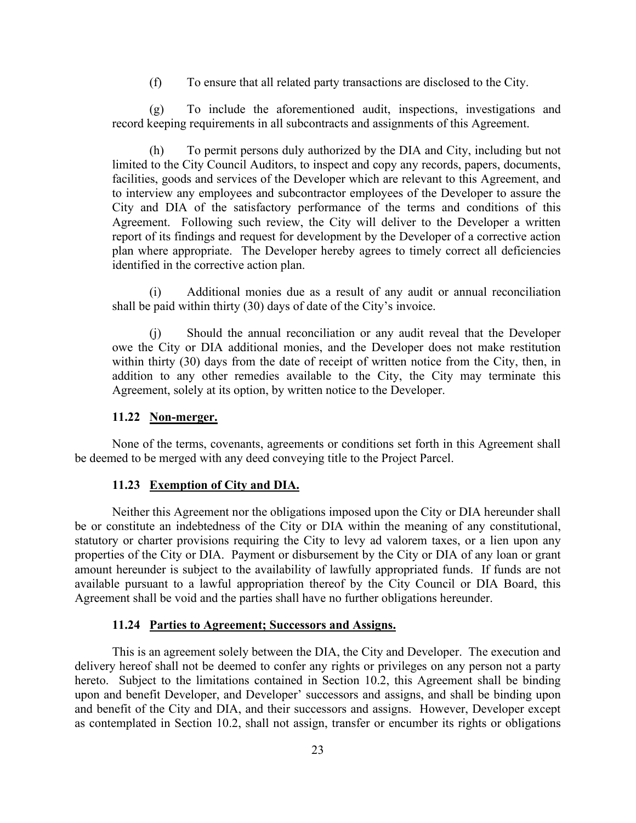(f) To ensure that all related party transactions are disclosed to the City.

(g) To include the aforementioned audit, inspections, investigations and record keeping requirements in all subcontracts and assignments of this Agreement.

To permit persons duly authorized by the DIA and City, including but not limited to the City Council Auditors, to inspect and copy any records, papers, documents, facilities, goods and services of the Developer which are relevant to this Agreement, and to interview any employees and subcontractor employees of the Developer to assure the City and DIA of the satisfactory performance of the terms and conditions of this Agreement. Following such review, the City will deliver to the Developer a written report of its findings and request for development by the Developer of a corrective action plan where appropriate. The Developer hereby agrees to timely correct all deficiencies identified in the corrective action plan.

(i) Additional monies due as a result of any audit or annual reconciliation shall be paid within thirty (30) days of date of the City's invoice.

(j) Should the annual reconciliation or any audit reveal that the Developer owe the City or DIA additional monies, and the Developer does not make restitution within thirty (30) days from the date of receipt of written notice from the City, then, in addition to any other remedies available to the City, the City may terminate this Agreement, solely at its option, by written notice to the Developer.

## **11.22 Non-merger.**

None of the terms, covenants, agreements or conditions set forth in this Agreement shall be deemed to be merged with any deed conveying title to the Project Parcel.

## **11.23 Exemption of City and DIA.**

Neither this Agreement nor the obligations imposed upon the City or DIA hereunder shall be or constitute an indebtedness of the City or DIA within the meaning of any constitutional, statutory or charter provisions requiring the City to levy ad valorem taxes, or a lien upon any properties of the City or DIA. Payment or disbursement by the City or DIA of any loan or grant amount hereunder is subject to the availability of lawfully appropriated funds. If funds are not available pursuant to a lawful appropriation thereof by the City Council or DIA Board, this Agreement shall be void and the parties shall have no further obligations hereunder.

#### **11.24 Parties to Agreement; Successors and Assigns.**

This is an agreement solely between the DIA, the City and Developer. The execution and delivery hereof shall not be deemed to confer any rights or privileges on any person not a party hereto. Subject to the limitations contained in Section 10.2, this Agreement shall be binding upon and benefit Developer, and Developer' successors and assigns, and shall be binding upon and benefit of the City and DIA, and their successors and assigns. However, Developer except as contemplated in Section 10.2, shall not assign, transfer or encumber its rights or obligations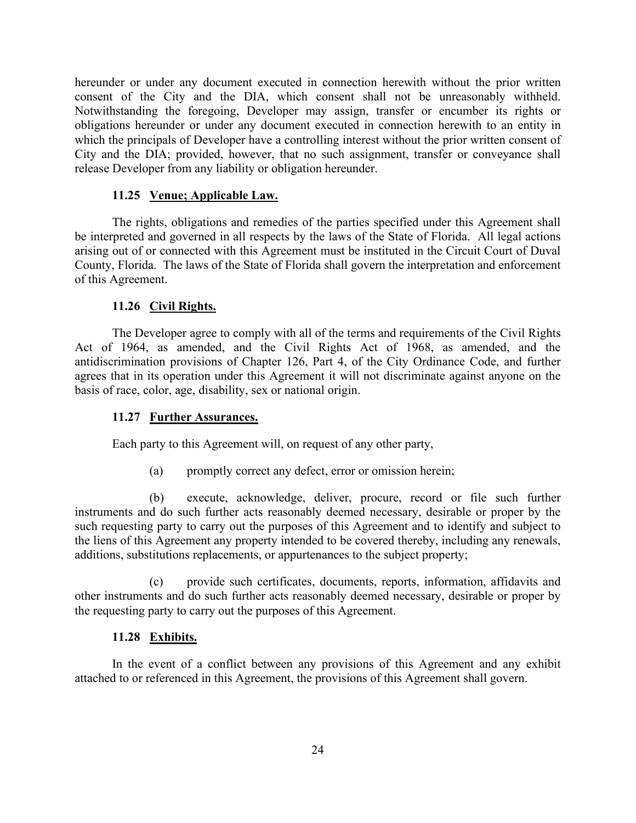hereunder or under any document executed in connection herewith without the prior written consent of the City and the DIA, which consent shall not be unreasonably withheld. Notwithstanding the foregoing, Developer may assign, transfer or encumber its rights or obligations hereunder or under any document executed in connection herewith to an entity in which the principals of Developer have a controlling interest without the prior written consent of City and the DIA; provided, however, that no such assignment, transfer or conveyance shall release Developer from any liability or obligation hereunder.

## **11.25 Venue; Applicable Law.**

The rights, obligations and remedies of the parties specified under this Agreement shall be interpreted and governed in all respects by the laws of the State of Florida. All legal actions arising out of or connected with this Agreement must be instituted in the Circuit Court of Duval County, Florida. The laws of the State of Florida shall govern the interpretation and enforcement of this Agreement.

## **11.26 Civil Rights.**

The Developer agree to comply with all of the terms and requirements of the Civil Rights Act of 1964, as amended, and the Civil Rights Act of 1968, as amended, and the antidiscrimination provisions of Chapter 126, Part 4, of the City Ordinance Code, and further agrees that in its operation under this Agreement it will not discriminate against anyone on the basis of race, color, age, disability, sex or national origin.

## **11.27 Further Assurances.**

Each party to this Agreement will, on request of any other party,

(a) promptly correct any defect, error or omission herein;

(b) execute, acknowledge, deliver, procure, record or file such further instruments and do such further acts reasonably deemed necessary, desirable or proper by the such requesting party to carry out the purposes of this Agreement and to identify and subject to the liens of this Agreement any property intended to be covered thereby, including any renewals, additions, substitutions replacements, or appurtenances to the subject property;

(c) provide such certificates, documents, reports, information, affidavits and other instruments and do such further acts reasonably deemed necessary, desirable or proper by the requesting party to carry out the purposes of this Agreement.

## **11.28 Exhibits.**

In the event of a conflict between any provisions of this Agreement and any exhibit attached to or referenced in this Agreement, the provisions of this Agreement shall govern.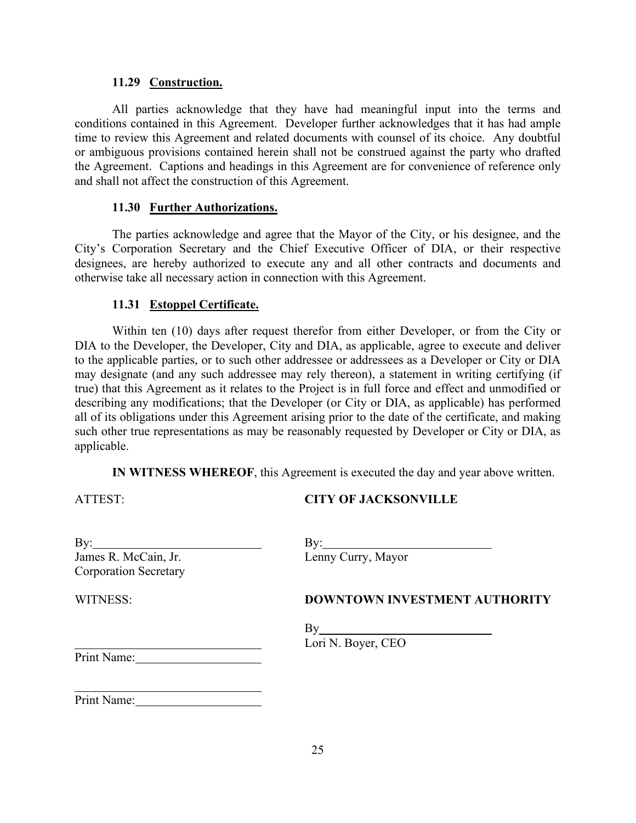### **11.29 Construction.**

All parties acknowledge that they have had meaningful input into the terms and conditions contained in this Agreement. Developer further acknowledges that it has had ample time to review this Agreement and related documents with counsel of its choice. Any doubtful or ambiguous provisions contained herein shall not be construed against the party who drafted the Agreement. Captions and headings in this Agreement are for convenience of reference only and shall not affect the construction of this Agreement.

### **11.30 Further Authorizations.**

The parties acknowledge and agree that the Mayor of the City, or his designee, and the City's Corporation Secretary and the Chief Executive Officer of DIA, or their respective designees, are hereby authorized to execute any and all other contracts and documents and otherwise take all necessary action in connection with this Agreement.

### **11.31 Estoppel Certificate.**

Within ten (10) days after request therefor from either Developer, or from the City or DIA to the Developer, the Developer, City and DIA, as applicable, agree to execute and deliver to the applicable parties, or to such other addressee or addressees as a Developer or City or DIA may designate (and any such addressee may rely thereon), a statement in writing certifying (if true) that this Agreement as it relates to the Project is in full force and effect and unmodified or describing any modifications; that the Developer (or City or DIA, as applicable) has performed all of its obligations under this Agreement arising prior to the date of the certificate, and making such other true representations as may be reasonably requested by Developer or City or DIA, as applicable.

**IN WITNESS WHEREOF**, this Agreement is executed the day and year above written.

ATTEST:

## **CITY OF JACKSONVILLE**

| By:                          |  |
|------------------------------|--|
| James R. McCain, Jr.         |  |
| <b>Corporation Secretary</b> |  |

WITNESS:

 $\overline{a}$ 

| By: $\qquad \qquad$ |  |
|---------------------|--|
| Lenny Curry, Mayor  |  |

## **DOWNTOWN INVESTMENT AUTHORITY**

 $By$ Lori N. Boyer, CEO

 $\overline{a}$ Print Name:

Print Name: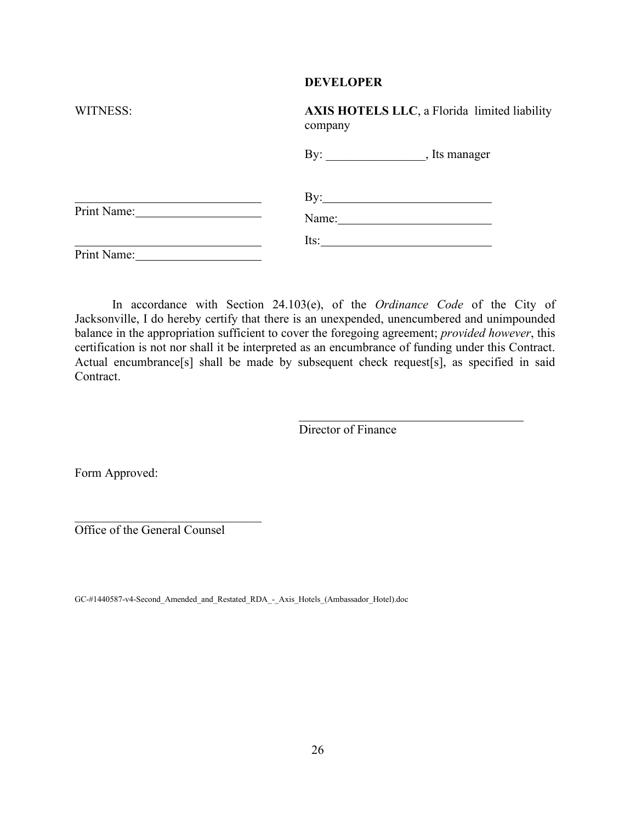#### **DEVELOPER**

| WITNESS:         | AXIS HOTELS LLC, a Florida limited liability<br>company |  |  |
|------------------|---------------------------------------------------------|--|--|
|                  |                                                         |  |  |
| Print Name: 2008 | $\mathbf{By:}\_\_\_\_\_\_\_\$<br>Name:                  |  |  |
| Print Name:      | Its:                                                    |  |  |

In accordance with Section 24.103(e), of the *Ordinance Code* of the City of Jacksonville, I do hereby certify that there is an unexpended, unencumbered and unimpounded balance in the appropriation sufficient to cover the foregoing agreement; *provided however*, this certification is not nor shall it be interpreted as an encumbrance of funding under this Contract. Actual encumbrance[s] shall be made by subsequent check request[s], as specified in said Contract.

Director of Finance

Form Approved:

Office of the General Counsel

\_\_\_\_\_\_\_\_\_\_\_\_\_\_\_\_\_\_\_\_\_\_\_\_\_\_\_\_\_\_

GC-#1440587-v4-Second\_Amended\_and\_Restated\_RDA\_-\_Axis\_Hotels\_(Ambassador\_Hotel).doc

On File Page 26 of 36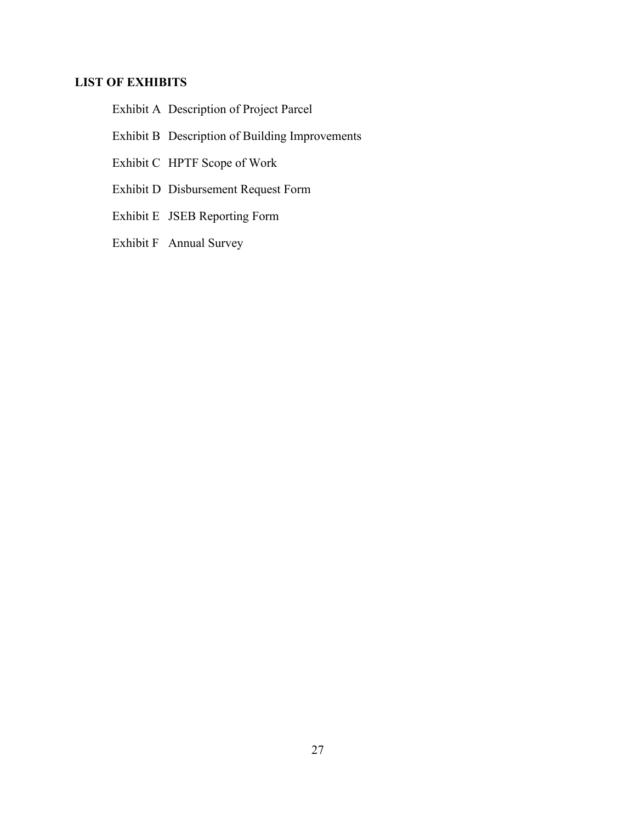## **LIST OF EXHIBITS**

Exhibit A Description of Project Parcel

- Exhibit B Description of Building Improvements
- Exhibit C HPTF Scope of Work
- Exhibit D Disbursement Request Form
- Exhibit E JSEB Reporting Form
- Exhibit F Annual Survey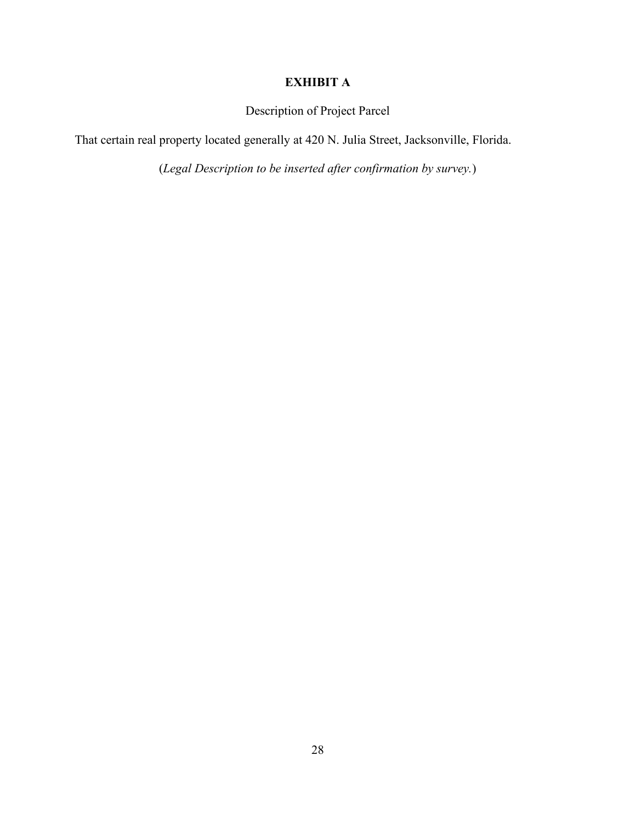## **EXHIBIT A**

Description of Project Parcel

That certain real property located generally at 420 N. Julia Street, Jacksonville, Florida.

(*Legal Description to be inserted after confirmation by survey.*)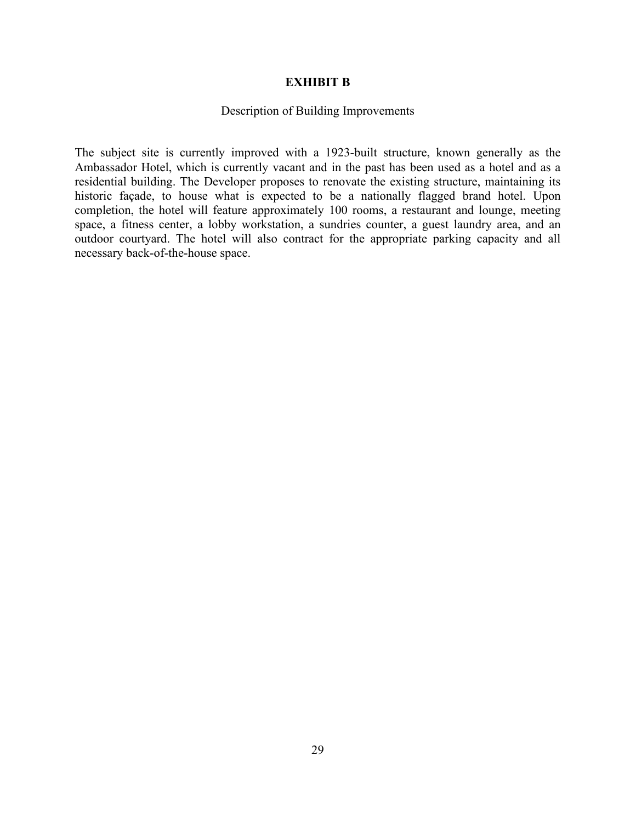### **EXHIBIT B**

### Description of Building Improvements

The subject site is currently improved with a 1923-built structure, known generally as the Ambassador Hotel, which is currently vacant and in the past has been used as a hotel and as a residential building. The Developer proposes to renovate the existing structure, maintaining its historic façade, to house what is expected to be a nationally flagged brand hotel. Upon completion, the hotel will feature approximately 100 rooms, a restaurant and lounge, meeting space, a fitness center, a lobby workstation, a sundries counter, a guest laundry area, and an outdoor courtyard. The hotel will also contract for the appropriate parking capacity and all necessary back-of-the-house space.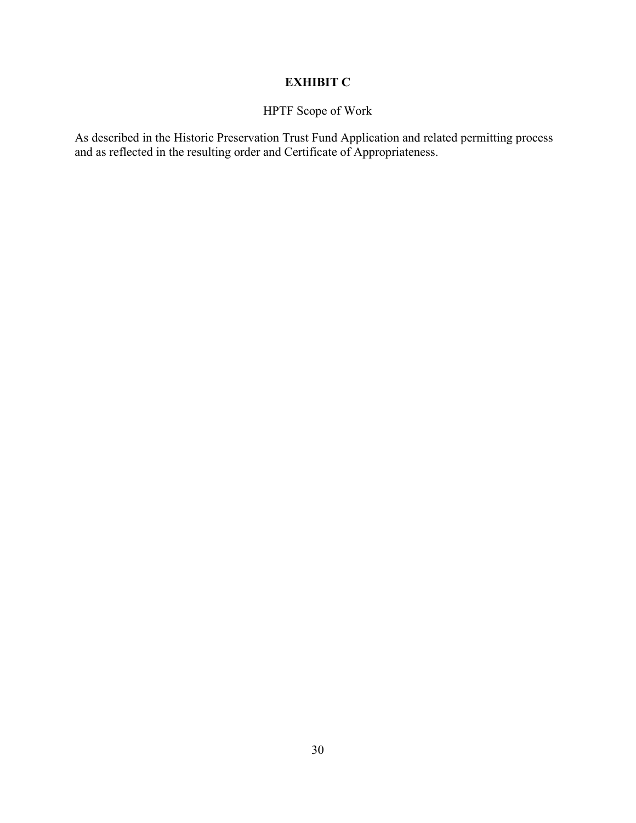## **EXHIBIT C**

## HPTF Scope of Work

As described in the Historic Preservation Trust Fund Application and related permitting process and as reflected in the resulting order and Certificate of Appropriateness.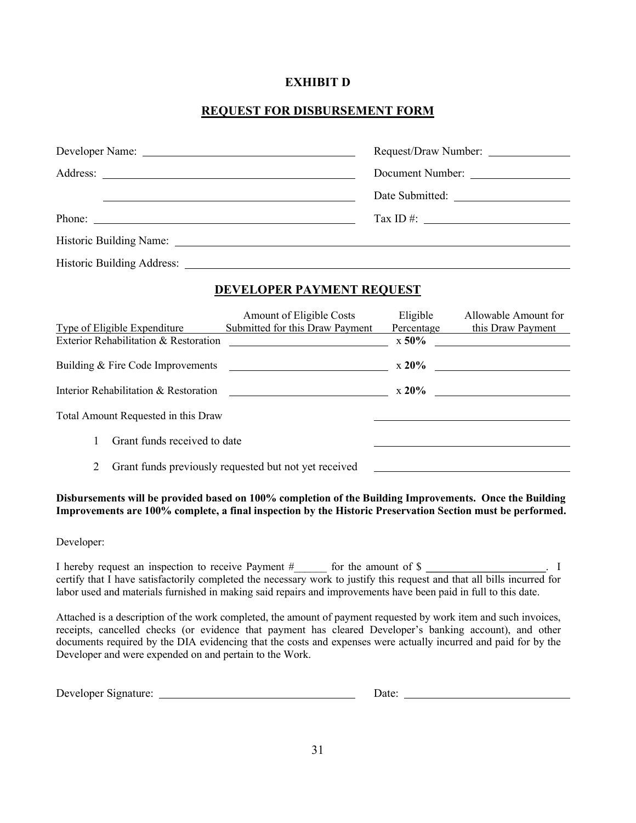### **EXHIBIT D**

## **REQUEST FOR DISBURSEMENT FORM**

| Developer Name:                                                                                          |                                                                                                               |  |
|----------------------------------------------------------------------------------------------------------|---------------------------------------------------------------------------------------------------------------|--|
|                                                                                                          | Document Number:                                                                                              |  |
| <u> 1990 - Jan James James Barnett, amerikansk politik (d. 1980)</u>                                     |                                                                                                               |  |
| Phone:                                                                                                   | Tax ID #: $\qquad \qquad$                                                                                     |  |
|                                                                                                          |                                                                                                               |  |
|                                                                                                          |                                                                                                               |  |
| DEVELOPER PAYMENT REQUEST                                                                                |                                                                                                               |  |
| Submitted for this Draw Payment<br>Type of Eligible Expenditure<br>Exterior Rehabilitation & Restoration | Amount of Eligible Costs Eligible Allowable Amount for<br>Percentage this Draw Payment<br>$\sim$ x 50% $\sim$ |  |
|                                                                                                          |                                                                                                               |  |
|                                                                                                          |                                                                                                               |  |
| Total Amount Requested in this Draw                                                                      |                                                                                                               |  |

- 1 Grant funds received to date
- 2 Grant funds previously requested but not yet received

#### **Disbursements will be provided based on 100% completion of the Building Improvements. Once the Building Improvements are 100% complete, a final inspection by the Historic Preservation Section must be performed.**

#### Developer:

I hereby request an inspection to receive Payment  $\#$  for the amount of \$ certify that I have satisfactorily completed the necessary work to justify this request and that all bills incurred for labor used and materials furnished in making said repairs and improvements have been paid in full to this date.

Attached is a description of the work completed, the amount of payment requested by work item and such invoices, receipts, cancelled checks (or evidence that payment has cleared Developer's banking account), and other documents required by the DIA evidencing that the costs and expenses were actually incurred and paid for by the Developer and were expended on and pertain to the Work.

| Developer<br>Signature: | Jate |  |
|-------------------------|------|--|
|                         |      |  |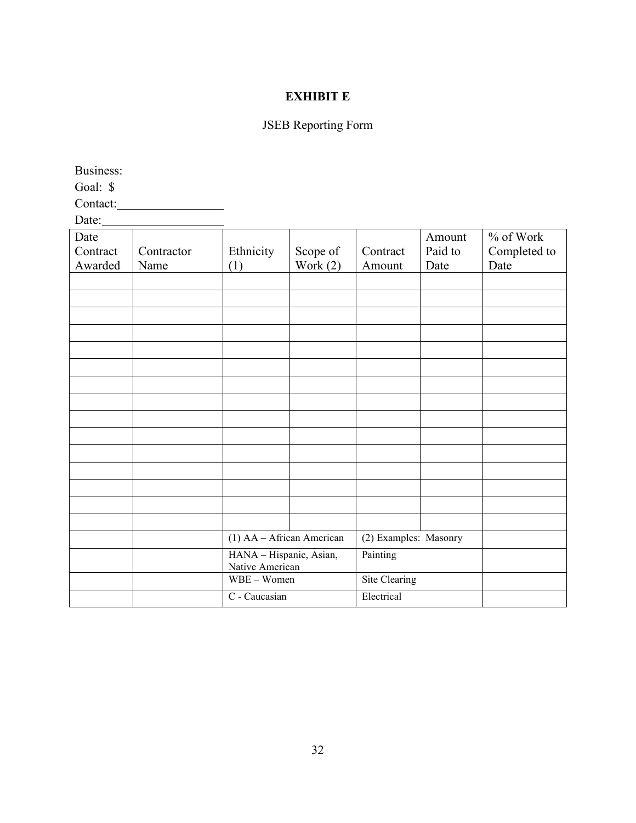## **EXHIBIT E**

## JSEB Reporting Form

Business:

Goal: \$

Contact:

| Date:    |            |                                            |            |                       |         |              |
|----------|------------|--------------------------------------------|------------|-----------------------|---------|--------------|
| Date     |            |                                            |            |                       | Amount  | % of Work    |
| Contract | Contractor | Ethnicity                                  | Scope of   | Contract              | Paid to | Completed to |
| Awarded  | Name       | (1)                                        | Work $(2)$ | Amount                | Date    | Date         |
|          |            |                                            |            |                       |         |              |
|          |            |                                            |            |                       |         |              |
|          |            |                                            |            |                       |         |              |
|          |            |                                            |            |                       |         |              |
|          |            |                                            |            |                       |         |              |
|          |            |                                            |            |                       |         |              |
|          |            |                                            |            |                       |         |              |
|          |            |                                            |            |                       |         |              |
|          |            |                                            |            |                       |         |              |
|          |            |                                            |            |                       |         |              |
|          |            |                                            |            |                       |         |              |
|          |            |                                            |            |                       |         |              |
|          |            |                                            |            |                       |         |              |
|          |            |                                            |            |                       |         |              |
|          |            |                                            |            |                       |         |              |
|          |            |                                            |            |                       |         |              |
|          |            |                                            |            |                       |         |              |
|          |            | (1) AA - African American                  |            | (2) Examples: Masonry |         |              |
|          |            | HANA - Hispanic, Asian,<br>Native American |            | Painting              |         |              |
|          |            | WBE - Women                                |            | <b>Site Clearing</b>  |         |              |
|          |            | C - Caucasian                              |            | Electrical            |         |              |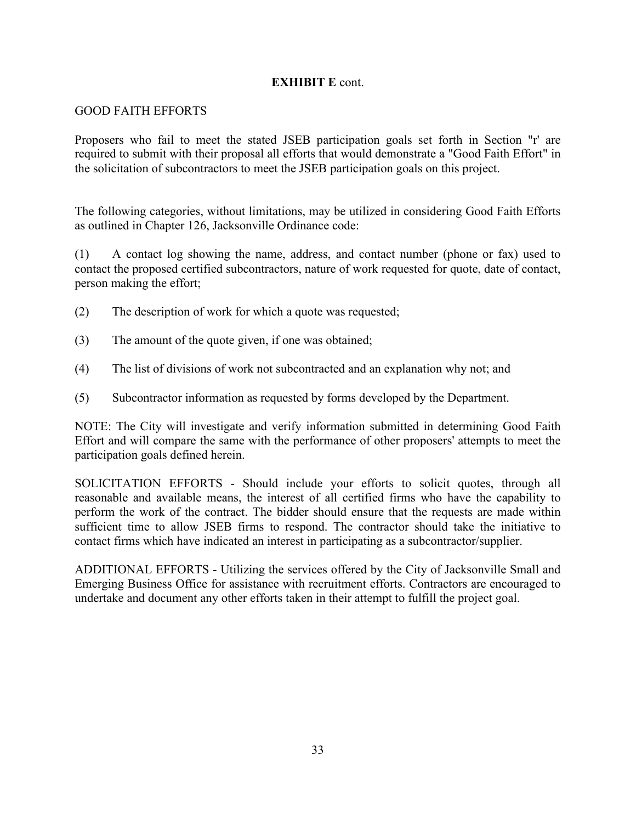## **EXHIBIT E** cont.

## GOOD FAITH EFFORTS

Proposers who fail to meet the stated JSEB participation goals set forth in Section "r' are required to submit with their proposal all efforts that would demonstrate a "Good Faith Effort" in the solicitation of subcontractors to meet the JSEB participation goals on this project.

The following categories, without limitations, may be utilized in considering Good Faith Efforts as outlined in Chapter 126, Jacksonville Ordinance code:

(1) A contact log showing the name, address, and contact number (phone or fax) used to contact the proposed certified subcontractors, nature of work requested for quote, date of contact, person making the effort;

- (2) The description of work for which a quote was requested;
- (3) The amount of the quote given, if one was obtained;
- (4) The list of divisions of work not subcontracted and an explanation why not; and
- (5) Subcontractor information as requested by forms developed by the Department.

NOTE: The City will investigate and verify information submitted in determining Good Faith Effort and will compare the same with the performance of other proposers' attempts to meet the participation goals defined herein.

SOLICITATION EFFORTS - Should include your efforts to solicit quotes, through all reasonable and available means, the interest of all certified firms who have the capability to perform the work of the contract. The bidder should ensure that the requests are made within sufficient time to allow JSEB firms to respond. The contractor should take the initiative to contact firms which have indicated an interest in participating as a subcontractor/supplier.

ADDITIONAL EFFORTS - Utilizing the services offered by the City of Jacksonville Small and Emerging Business Office for assistance with recruitment efforts. Contractors are encouraged to undertake and document any other efforts taken in their attempt to fulfill the project goal.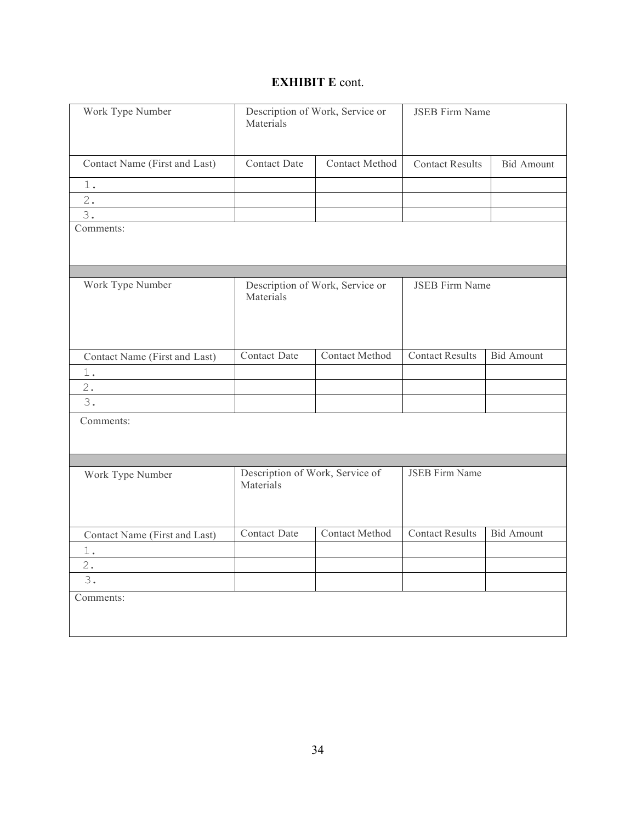## **EXHIBIT E** cont.

| Work Type Number              | Description of Work, Service or<br>Materials |                       | <b>JSEB</b> Firm Name  |                   |  |
|-------------------------------|----------------------------------------------|-----------------------|------------------------|-------------------|--|
| Contact Name (First and Last) | <b>Contact Date</b>                          | Contact Method        | <b>Contact Results</b> | <b>Bid Amount</b> |  |
| 1.                            |                                              |                       |                        |                   |  |
| 2.                            |                                              |                       |                        |                   |  |
| 3.                            |                                              |                       |                        |                   |  |
| Comments:                     |                                              |                       |                        |                   |  |
| Work Type Number              | Description of Work, Service or<br>Materials |                       | <b>JSEB Firm Name</b>  |                   |  |
| Contact Name (First and Last) | Contact Date                                 | Contact Method        | <b>Contact Results</b> | <b>Bid Amount</b> |  |
| $1_{.}$                       |                                              |                       |                        |                   |  |
| 2.                            |                                              |                       |                        |                   |  |
| 3.                            |                                              |                       |                        |                   |  |
| Comments:                     |                                              |                       |                        |                   |  |
| Work Type Number              | Description of Work, Service of<br>Materials |                       | <b>JSEB</b> Firm Name  |                   |  |
| Contact Name (First and Last) | Contact Date                                 | <b>Contact Method</b> | <b>Contact Results</b> | <b>Bid Amount</b> |  |
| $1$ .                         |                                              |                       |                        |                   |  |
| 2.                            |                                              |                       |                        |                   |  |
| 3.                            |                                              |                       |                        |                   |  |
| Comments:                     |                                              |                       |                        |                   |  |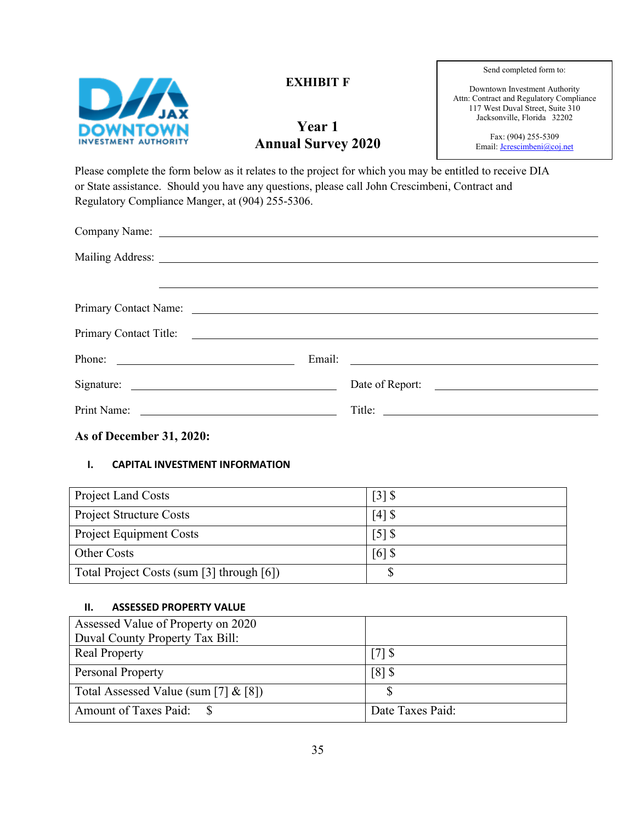

## **EXHIBIT F**

# **Year 1 Annual Survey 2020**

Send completed form to:

Downtown Investment Authority Attn: Contract and Regulatory Compliance 117 West Duval Street, Suite 310 Jacksonville, Florida 32202

> Fax: (904) 255-5309 Email: **Jcrescimbeni@coj.net**

Please complete the form below as it relates to the project for which you may be entitled to receive DIA or State assistance. Should you have any questions, please call John Crescimbeni, Contract and Regulatory Compliance Manger, at (904) 255-5306.

|                          | Date of Report: |
|--------------------------|-----------------|
|                          |                 |
| As of December 31, 2020: |                 |

## **I. CAPITAL INVESTMENT INFORMATION**

| <b>Project Land Costs</b>                 | $\lceil 3 \rceil$ \$ |
|-------------------------------------------|----------------------|
| <b>Project Structure Costs</b>            | $\lceil 4 \rceil$ \$ |
| <b>Project Equipment Costs</b>            | $\lceil 5 \rceil$ \$ |
| Other Costs                               | $\lceil 6 \rceil$ \$ |
| Total Project Costs (sum [3] through [6]) |                      |

#### **II. ASSESSED PROPERTY VALUE**

| Assessed Value of Property on 2020      |                                 |
|-----------------------------------------|---------------------------------|
| Duval County Property Tax Bill:         |                                 |
| <b>Real Property</b>                    | $\left\lceil 7 \right\rceil$ \$ |
| <b>Personal Property</b>                | $\lceil 8 \rceil$ \$            |
| Total Assessed Value (sum [7] $\&$ [8]) |                                 |
| Amount of Taxes Paid: \$                | Date Taxes Paid:                |